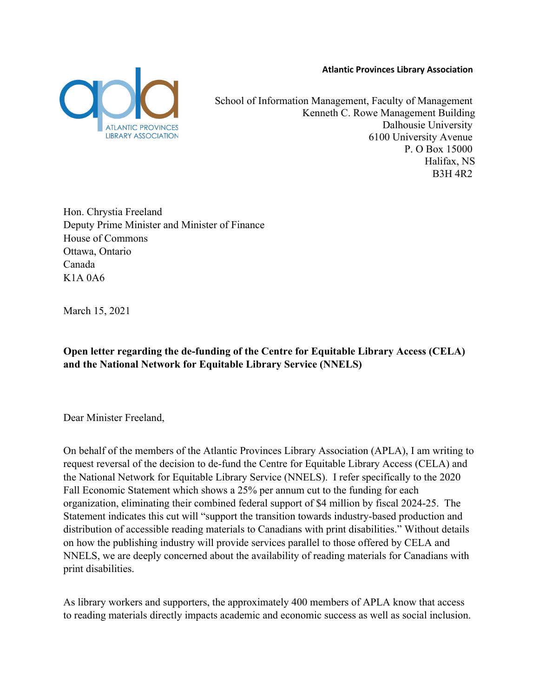**Atlantic Provinces Library Association**



School of Information Management, Faculty of Management Kenneth C. Rowe Management Building Dalhousie University 6100 University Avenue P. O Box 15000 Halifax, NS B3H 4R2

Hon. Chrystia Freeland Deputy Prime Minister and Minister of Finance House of Commons Ottawa, Ontario Canada K1A 0A6

March 15, 2021

**Open letter regarding the de-funding of the Centre for Equitable Library Access (CELA) and the National Network for Equitable Library Service (NNELS)**

Dear Minister Freeland,

On behalf of the members of the Atlantic Provinces Library Association (APLA), I am writing to request reversal of the decision to de-fund the Centre for Equitable Library Access (CELA) and the National Network for Equitable Library Service (NNELS). I refer specifically to the 2020 Fall Economic Statement which shows a 25% per annum cut to the funding for each organization, eliminating their combined federal support of \$4 million by fiscal 2024-25. The Statement indicates this cut will "support the transition towards industry-based production and distribution of accessible reading materials to Canadians with print disabilities." Without details on how the publishing industry will provide services parallel to those offered by CELA and NNELS, we are deeply concerned about the availability of reading materials for Canadians with print disabilities.

As library workers and supporters, the approximately 400 members of APLA know that access to reading materials directly impacts academic and economic success as well as social inclusion.